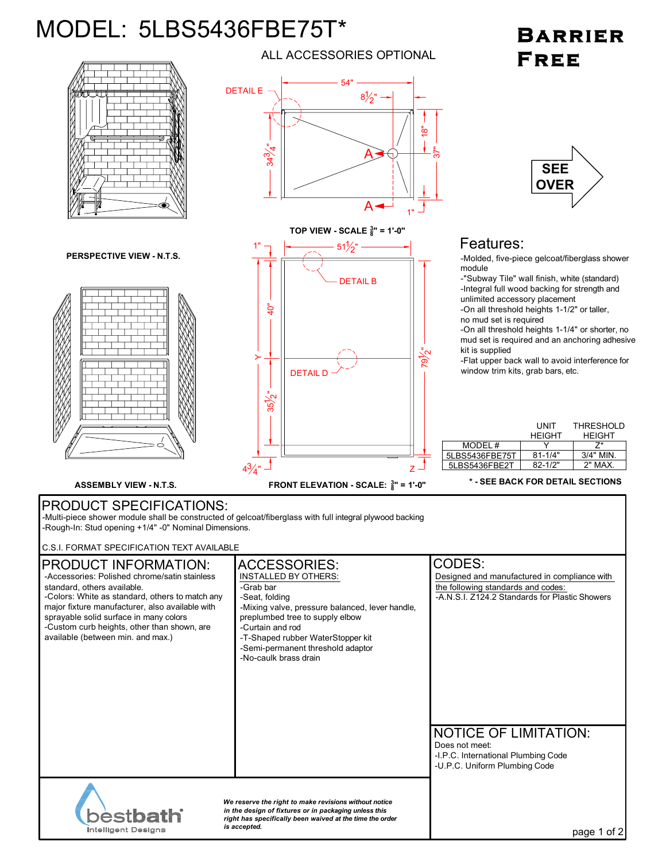## MODEL: 5LBS5436FBE75T\*

## BARRIER **FREE**



ALL ACCESSORIES OPTIONAL